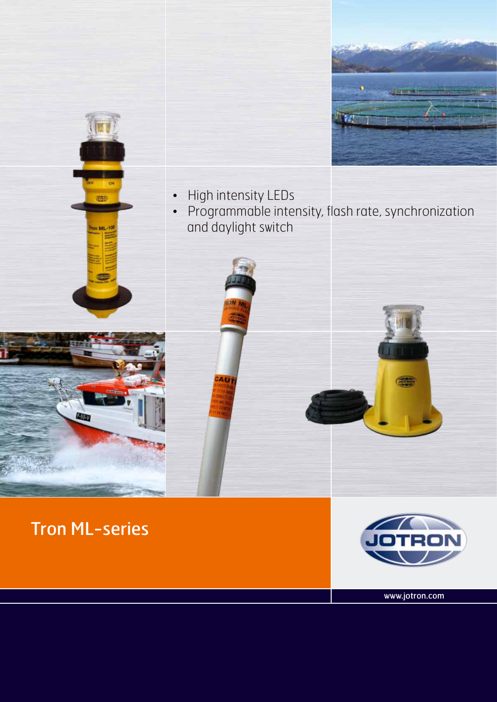



- • High intensity LEDs
- • Programmable intensity, flash rate, synchronization and daylight switch



Tron ML-series

**Binay** 



www.jotron.com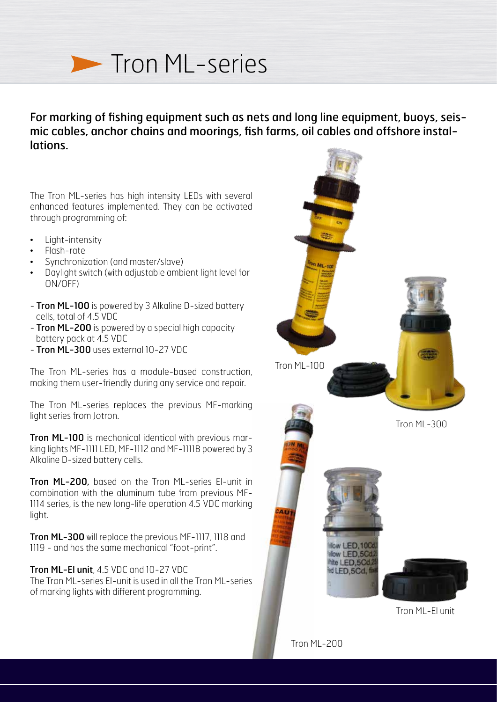

## For marking of fishing equipment such as nets and long line equipment, buoys, seismic cables, anchor chains and moorings, fish farms, oil cables and offshore installations.

The Tron ML-series has high intensity LEDs with several enhanced features implemented. They can be activated through programming of:

- Light-intensity
- Flash-rate
- Synchronization (and master/slave)
- Daylight switch (with adjustable ambient light level for ON/OFF)
- **Tron ML-100** is powered by 3 Alkaline D-sized battery cells, total of 4.5 VDC
- Tron ML-200 is powered by a special high capacity battery pack at 4.5 VDC
- Tron ML-300 uses external 10-27 VDC

The Tron ML-series has a module-based construction, making them user-friendly during any service and repair.

The Tron ML-series replaces the previous MF-marking light series from Jotron.

Tron ML-100 is mechanical identical with previous marking lights MF-1111 LED, MF-1112 and MF-1111B powered by 3 Alkaline D-sized battery cells.

Tron ML-200, based on the Tron ML-series El-unit in combination with the aluminum tube from previous MF-1114 series, is the new long-life operation 4.5 VDC marking light.

Tron ML-300 will replace the previous MF-1117, 1118 and 1119 - and has the same mechanical "foot-print".

Tron ML-El unit, 4.5 VDC and 10-27 VDC The Tron ML-series El-unit is used in all the Tron ML-series of marking lights with different programming.

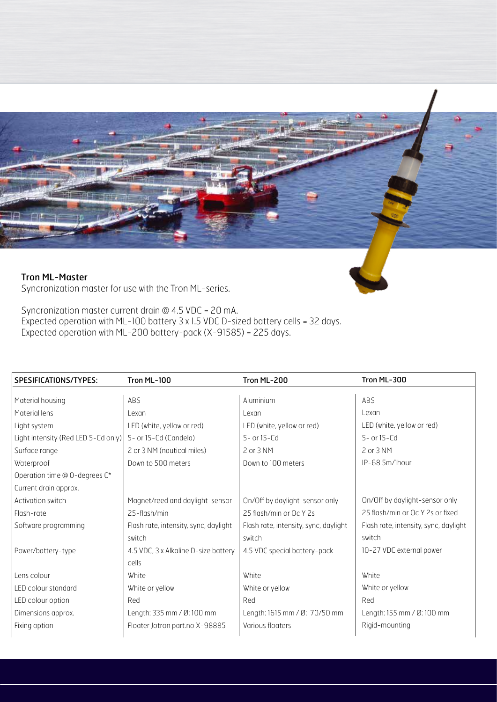

Syncronization master current drain @ 4.5 VDC = 20 mA. Expected operation with ML-100 battery 3 x 1.5 VDC D-sized battery cells = 32 days. Expected operation with ML-200 battery-pack (X-91585) = 225 days.

| SPESIFICATIONS/TYPES:               | Tron ML-100                           | Tron ML-200                           | Tron ML-300                           |  |  |
|-------------------------------------|---------------------------------------|---------------------------------------|---------------------------------------|--|--|
|                                     |                                       |                                       |                                       |  |  |
| Material housing                    | ABS                                   | Aluminium                             | ABS                                   |  |  |
| Material lens                       | Lexan                                 | Lexan                                 | Lexan                                 |  |  |
| Light system                        | LED (white, yellow or red)            | LED (white, yellow or red)            | LED (white, yellow or red)            |  |  |
| Light intensity (Red LED 5-Cd only) | 5- or 15-Cd (Candela)                 | 5- or 15-Cd                           | $5-$ or $15-$ Cd                      |  |  |
| Surface range                       | 2 or 3 NM (nautical miles)            | 2 or 3 NM                             | 2 or 3 NM                             |  |  |
| Waterproof                          | Down to 500 meters                    | Down to 100 meters                    | IP-68 5m/lhour                        |  |  |
| Operation time @ 0-degrees C*       |                                       |                                       |                                       |  |  |
| Current drain approx.               |                                       |                                       |                                       |  |  |
| Activation switch                   | Magnet/reed and daylight-sensor       | On/Off by daylight-sensor only        | On/Off by daylight-sensor only        |  |  |
| Flash-rate                          | 25-flash/min                          | 25 flash/min or Oc Y 2s               | 25 flash/min or Oc Y 2s or fixed      |  |  |
| Software programming                | Flash rate, intensity, sync, daylight | Flash rate, intensity, sync, daylight | Flash rate, intensity, sync, daylight |  |  |
|                                     | switch                                | switch                                | switch                                |  |  |
| Power/battery-type                  | 4.5 VDC, 3 x Alkaline D-size battery  | 4.5 VDC special battery-pack          | 10-27 VDC external power              |  |  |
|                                     | cells                                 |                                       |                                       |  |  |
| Lens colour                         | White                                 | White                                 | White                                 |  |  |
| LED colour standard                 | White or yellow                       | White or yellow                       | White or yellow                       |  |  |
| LED colour option                   | Red                                   | Red                                   | Red                                   |  |  |
| Dimensions approx.                  | Length: 335 mm / Ø: 100 mm            | Length: 1615 mm / Ø: 70/50 mm         | Length: 155 mm / Ø: 100 mm            |  |  |
| Fixing option                       | Floater Jotron part.no X-98885        | Various floaters                      | Rigid-mounting                        |  |  |
|                                     |                                       |                                       |                                       |  |  |